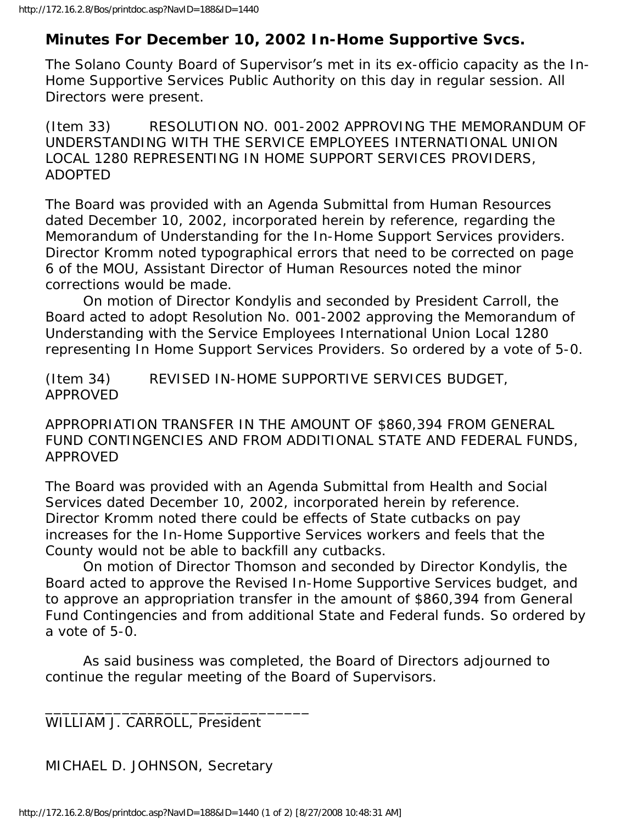## **Minutes For December 10, 2002 In-Home Supportive Svcs.**

The Solano County Board of Supervisor's met in its ex-officio capacity as the In-Home Supportive Services Public Authority on this day in regular session. All Directors were present.

(Item 33) RESOLUTION NO. 001-2002 APPROVING THE MEMORANDUM OF UNDERSTANDING WITH THE SERVICE EMPLOYEES INTERNATIONAL UNION LOCAL 1280 REPRESENTING IN HOME SUPPORT SERVICES PROVIDERS, ADOPTED

The Board was provided with an Agenda Submittal from Human Resources dated December 10, 2002, incorporated herein by reference, regarding the Memorandum of Understanding for the In-Home Support Services providers. Director Kromm noted typographical errors that need to be corrected on page 6 of the MOU, Assistant Director of Human Resources noted the minor corrections would be made.

 On motion of Director Kondylis and seconded by President Carroll, the Board acted to adopt Resolution No. 001-2002 approving the Memorandum of Understanding with the Service Employees International Union Local 1280 representing In Home Support Services Providers. So ordered by a vote of 5-0.

(Item 34) REVISED IN-HOME SUPPORTIVE SERVICES BUDGET, APPROVED

APPROPRIATION TRANSFER IN THE AMOUNT OF \$860,394 FROM GENERAL FUND CONTINGENCIES AND FROM ADDITIONAL STATE AND FEDERAL FUNDS, APPROVED

The Board was provided with an Agenda Submittal from Health and Social Services dated December 10, 2002, incorporated herein by reference. Director Kromm noted there could be effects of State cutbacks on pay increases for the In-Home Supportive Services workers and feels that the County would not be able to backfill any cutbacks.

 On motion of Director Thomson and seconded by Director Kondylis, the Board acted to approve the Revised In-Home Supportive Services budget, and to approve an appropriation transfer in the amount of \$860,394 from General Fund Contingencies and from additional State and Federal funds. So ordered by a vote of 5-0.

 As said business was completed, the Board of Directors adjourned to continue the regular meeting of the Board of Supervisors.

WILLIAM J. CARROLL, President

\_\_\_\_\_\_\_\_\_\_\_\_\_\_\_\_\_\_\_\_\_\_\_\_\_\_\_\_\_\_\_

MICHAEL D. JOHNSON, Secretary